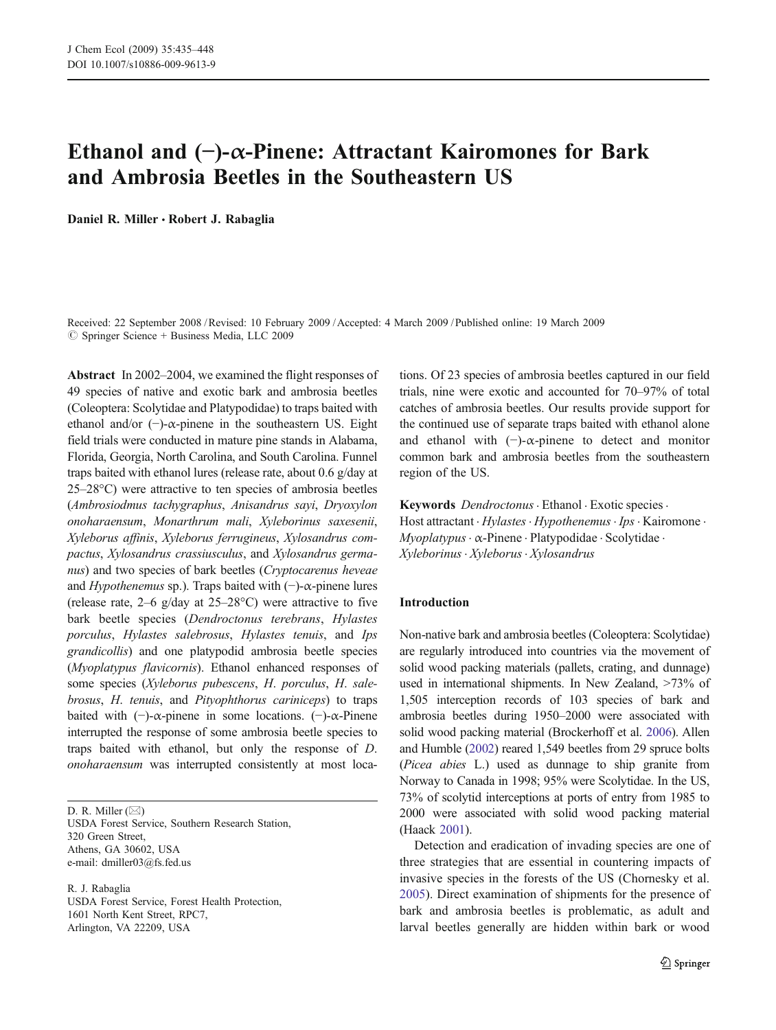# Ethanol and (*−*)-α-Pinene: Attractant Kairomones for Bark and Ambrosia Beetles in the Southeastern US

Daniel R. Miller *&* Robert J. Rabaglia

Received: 22 September 2008 /Revised: 10 February 2009 /Accepted: 4 March 2009 / Published online: 19 March 2009  $\circledcirc$  Springer Science + Business Media, LLC 2009

Abstract In 2002–2004, we examined the flight responses of 49 species of native and exotic bark and ambrosia beetles (Coleoptera: Scolytidae and Platypodidae) to traps baited with ethanol and/or  $(-)$ - $\alpha$ -pinene in the southeastern US. Eight field trials were conducted in mature pine stands in Alabama, Florida, Georgia, North Carolina, and South Carolina. Funnel traps baited with ethanol lures (release rate, about 0.6 g/day at 25–28°C) were attractive to ten species of ambrosia beetles (Ambrosiodmus tachygraphus, Anisandrus sayi, Dryoxylon onoharaensum, Monarthrum mali, Xyleborinus saxesenii, Xyleborus affinis, Xyleborus ferrugineus, Xylosandrus compactus, Xylosandrus crassiusculus, and Xylosandrus germanus) and two species of bark beetles (Cryptocarenus heveae and Hypothenemus sp.). Traps baited with  $(-)$ - $\alpha$ -pinene lures (release rate,  $2-6$  g/day at  $25-28$ °C) were attractive to five bark beetle species (Dendroctonus terebrans, Hylastes porculus, Hylastes salebrosus, Hylastes tenuis, and Ips grandicollis) and one platypodid ambrosia beetle species (Myoplatypus flavicornis). Ethanol enhanced responses of some species (Xyleborus pubescens, H. porculus, H. salebrosus, H. tenuis, and Pityophthorus cariniceps) to traps baited with  $(-)$ - $\alpha$ -pinene in some locations.  $(-)$ - $\alpha$ -Pinene interrupted the response of some ambrosia beetle species to traps baited with ethanol, but only the response of D. onoharaensum was interrupted consistently at most loca-

D. R. Miller (*\**) USDA Forest Service, Southern Research Station, 320 Green Street, Athens, GA 30602, USA e-mail: dmiller03@fs.fed.us

R. J. Rabaglia USDA Forest Service, Forest Health Protection, 1601 North Kent Street, RPC7, Arlington, VA 22209, USA

tions. Of 23 species of ambrosia beetles captured in our field trials, nine were exotic and accounted for 70–97% of total catches of ambrosia beetles. Our results provide support for the continued use of separate traps baited with ethanol alone and ethanol with  $(-)$ - $\alpha$ -pinene to detect and monitor common bark and ambrosia beetles from the southeastern region of the US.

Keywords Dendroctonus · Ethanol · Exotic species · Host attractant · Hylastes · Hypothenemus · Ips · Kairomone · Myoplatypus. α-Pinene . Platypodidae . Scolytidae . Xyleborinus. Xyleborus. Xylosandrus

## Introduction

Non-native bark and ambrosia beetles (Coleoptera: Scolytidae) are regularly introduced into countries via the movement of solid wood packing materials (pallets, crating, and dunnage) used in international shipments. In New Zealand, >73% of 1,505 interception records of 103 species of bark and ambrosia beetles during 1950–2000 were associated with solid wood packing material (Brockerhoff et al. [2006\)](#page-12-0). Allen and Humble [\(2002\)](#page-12-0) reared 1,549 beetles from 29 spruce bolts (Picea abies L.) used as dunnage to ship granite from Norway to Canada in 1998; 95% were Scolytidae. In the US, 73% of scolytid interceptions at ports of entry from 1985 to 2000 were associated with solid wood packing material (Haack [2001](#page-12-0)).

Detection and eradication of invading species are one of three strategies that are essential in countering impacts of invasive species in the forests of the US (Chornesky et al. [2005\)](#page-12-0). Direct examination of shipments for the presence of bark and ambrosia beetles is problematic, as adult and larval beetles generally are hidden within bark or wood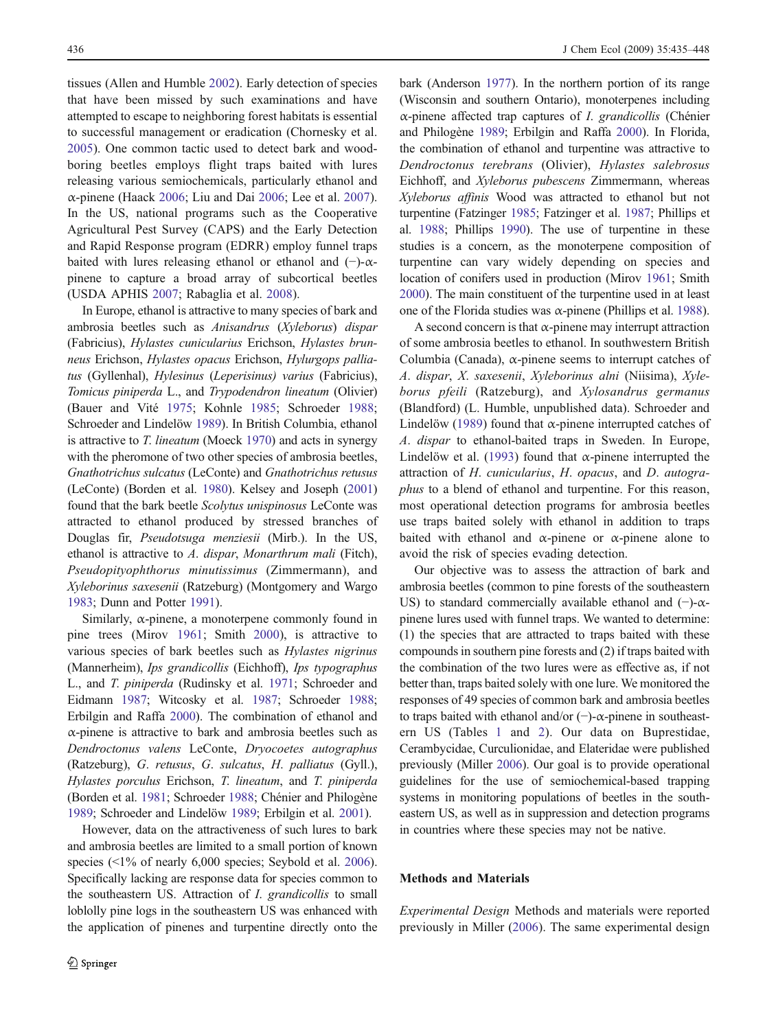tissues (Allen and Humble [2002\)](#page-12-0). Early detection of species that have been missed by such examinations and have attempted to escape to neighboring forest habitats is essential to successful management or eradication (Chornesky et al. [2005\)](#page-12-0). One common tactic used to detect bark and woodboring beetles employs flight traps baited with lures releasing various semiochemicals, particularly ethanol and α-pinene (Haack [2006](#page-12-0); Liu and Dai [2006;](#page-13-0) Lee et al. [2007](#page-13-0)). In the US, national programs such as the Cooperative Agricultural Pest Survey (CAPS) and the Early Detection and Rapid Response program (EDRR) employ funnel traps baited with lures releasing ethanol or ethanol and  $(-)$ - $\alpha$ pinene to capture a broad array of subcortical beetles (USDA APHIS [2007](#page-13-0); Rabaglia et al. [2008\)](#page-13-0).

In Europe, ethanol is attractive to many species of bark and ambrosia beetles such as Anisandrus (Xyleborus) dispar (Fabricius), Hylastes cunicularius Erichson, Hylastes brunneus Erichson, Hylastes opacus Erichson, Hylurgops palliatus (Gyllenhal), Hylesinus (Leperisinus) varius (Fabricius), Tomicus piniperda L., and Trypodendron lineatum (Olivier) (Bauer and Vité [1975;](#page-12-0) Kohnle [1985](#page-13-0); Schroeder [1988](#page-13-0); Schroeder and Lindelöw [1989\)](#page-13-0). In British Columbia, ethanol is attractive to  $T$ . lineatum (Moeck [1970](#page-13-0)) and acts in synergy with the pheromone of two other species of ambrosia beetles, Gnathotrichus sulcatus (LeConte) and Gnathotrichus retusus (LeConte) (Borden et al. [1980\)](#page-12-0). Kelsey and Joseph [\(2001\)](#page-13-0) found that the bark beetle Scolytus unispinosus LeConte was attracted to ethanol produced by stressed branches of Douglas fir, Pseudotsuga menziesii (Mirb.). In the US, ethanol is attractive to A. dispar, Monarthrum mali (Fitch), Pseudopityophthorus minutissimus (Zimmermann), and Xyleborinus saxesenii (Ratzeburg) (Montgomery and Wargo [1983](#page-13-0); Dunn and Potter [1991](#page-12-0)).

Similarly,  $\alpha$ -pinene, a monoterpene commonly found in pine trees (Mirov [1961;](#page-13-0) Smith [2000\)](#page-13-0), is attractive to various species of bark beetles such as Hylastes nigrinus (Mannerheim), Ips grandicollis (Eichhoff), Ips typographus L., and T. piniperda (Rudinsky et al. [1971;](#page-13-0) Schroeder and Eidmann [1987;](#page-13-0) Witcosky et al. [1987](#page-13-0); Schroeder [1988](#page-13-0); Erbilgin and Raffa [2000](#page-12-0)). The combination of ethanol and α-pinene is attractive to bark and ambrosia beetles such as Dendroctonus valens LeConte, Dryocoetes autographus (Ratzeburg), G. retusus, G. sulcatus, H. palliatus (Gyll.), Hylastes porculus Erichson, T. lineatum, and T. piniperda (Borden et al. [1981;](#page-12-0) Schroeder [1988;](#page-13-0) Chénier and Philogène [1989](#page-12-0); Schroeder and Lindelöw [1989;](#page-13-0) Erbilgin et al. [2001\)](#page-12-0).

However, data on the attractiveness of such lures to bark and ambrosia beetles are limited to a small portion of known species  $\langle 1\%$  of nearly 6,000 species; Seybold et al. [2006](#page-13-0)). Specifically lacking are response data for species common to the southeastern US. Attraction of *I. grandicollis* to small loblolly pine logs in the southeastern US was enhanced with the application of pinenes and turpentine directly onto the

bark (Anderson [1977](#page-12-0)). In the northern portion of its range (Wisconsin and southern Ontario), monoterpenes including α-pinene affected trap captures of I. grandicollis (Chénier and Philogène [1989](#page-12-0); Erbilgin and Raffa [2000\)](#page-12-0). In Florida, the combination of ethanol and turpentine was attractive to Dendroctonus terebrans (Olivier), Hylastes salebrosus Eichhoff, and Xyleborus pubescens Zimmermann, whereas Xyleborus affinis Wood was attracted to ethanol but not turpentine (Fatzinger [1985](#page-12-0); Fatzinger et al. [1987](#page-12-0); Phillips et al. [1988](#page-13-0); Phillips [1990\)](#page-13-0). The use of turpentine in these studies is a concern, as the monoterpene composition of turpentine can vary widely depending on species and location of conifers used in production (Mirov [1961;](#page-13-0) Smith [2000](#page-13-0)). The main constituent of the turpentine used in at least one of the Florida studies was  $\alpha$ -pinene (Phillips et al. [1988](#page-13-0)).

A second concern is that  $\alpha$ -pinene may interrupt attraction of some ambrosia beetles to ethanol. In southwestern British Columbia (Canada), α-pinene seems to interrupt catches of A. dispar, X. saxesenii, Xyleborinus alni (Niisima), Xyleborus pfeili (Ratzeburg), and Xylosandrus germanus (Blandford) (L. Humble, unpublished data). Schroeder and Lindelöw ([1989\)](#page-13-0) found that  $\alpha$ -pinene interrupted catches of A. dispar to ethanol-baited traps in Sweden. In Europe, Lindelöw et al. ([1993\)](#page-13-0) found that  $\alpha$ -pinene interrupted the attraction of H. cunicularius, H. opacus, and D. autographus to a blend of ethanol and turpentine. For this reason, most operational detection programs for ambrosia beetles use traps baited solely with ethanol in addition to traps baited with ethanol and  $\alpha$ -pinene or  $\alpha$ -pinene alone to avoid the risk of species evading detection.

Our objective was to assess the attraction of bark and ambrosia beetles (common to pine forests of the southeastern US) to standard commercially available ethanol and  $(-)$ - $\alpha$ pinene lures used with funnel traps. We wanted to determine: (1) the species that are attracted to traps baited with these compounds in southern pine forests and (2) if traps baited with the combination of the two lures were as effective as, if not better than, traps baited solely with one lure. We monitored the responses of 49 species of common bark and ambrosia beetles to traps baited with ethanol and/or (−)-α-pinene in southeastern US (Tables [1](#page-2-0) and [2](#page-3-0)). Our data on Buprestidae, Cerambycidae, Curculionidae, and Elateridae were published previously (Miller [2006\)](#page-13-0). Our goal is to provide operational guidelines for the use of semiochemical-based trapping systems in monitoring populations of beetles in the southeastern US, as well as in suppression and detection programs in countries where these species may not be native.

## Methods and Materials

Experimental Design Methods and materials were reported previously in Miller ([2006](#page-13-0)). The same experimental design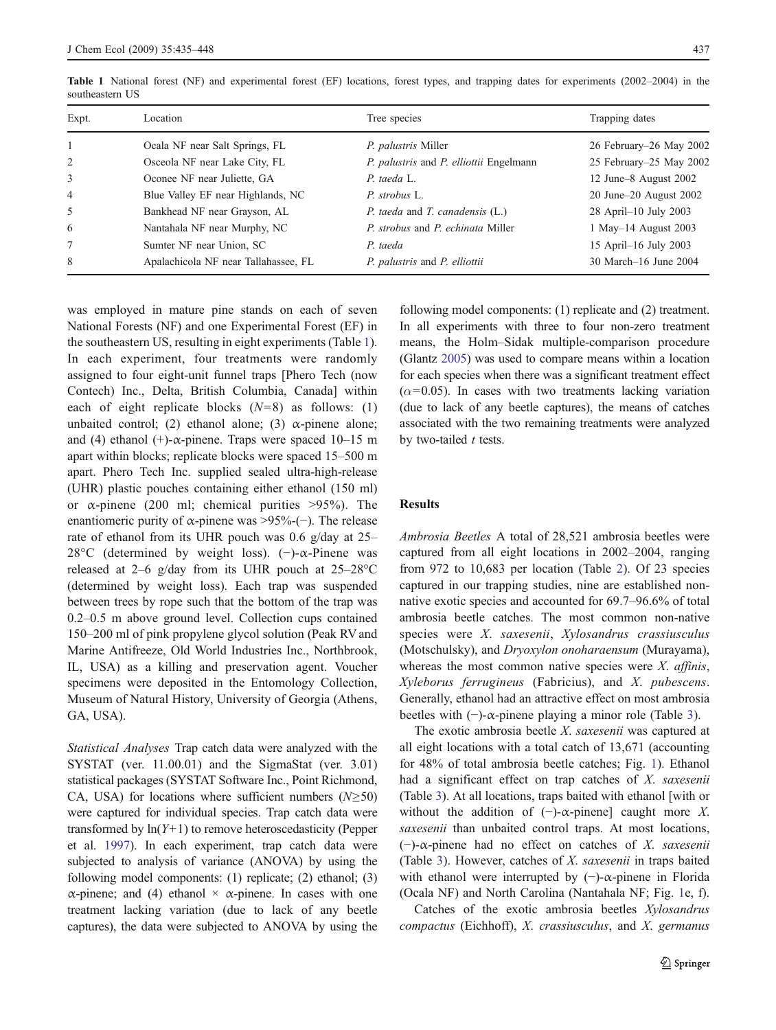| Expt.          | Location                             | Tree species                            | Trapping dates          |
|----------------|--------------------------------------|-----------------------------------------|-------------------------|
|                | Ocala NF near Salt Springs, FL       | P. palustris Miller                     | 26 February–26 May 2002 |
| 2              | Osceola NF near Lake City, FL        | P. palustris and P. elliottii Engelmann | 25 February–25 May 2002 |
| 3              | Oconee NF near Juliette, GA          | P. taeda L.                             | 12 June–8 August 2002   |
| $\overline{4}$ | Blue Valley EF near Highlands, NC    | P. strobus L.                           | 20 June–20 August 2002  |
| $\mathfrak{H}$ | Bankhead NF near Grayson, AL         | P. taeda and T. canadensis (L.)         | 28 April-10 July 2003   |
| 6              | Nantahala NF near Murphy, NC         | P. strobus and P. echinata Miller       | 1 May–14 August 2003    |
| 7              | Sumter NF near Union, SC             | P. taeda                                | 15 April–16 July 2003   |
| 8              | Apalachicola NF near Tallahassee, FL | P. palustris and P. elliottii           | 30 March–16 June 2004   |

<span id="page-2-0"></span>Table 1 National forest (NF) and experimental forest (EF) locations, forest types, and trapping dates for experiments (2002–2004) in the southeastern US

was employed in mature pine stands on each of seven National Forests (NF) and one Experimental Forest (EF) in the southeastern US, resulting in eight experiments (Table 1). In each experiment, four treatments were randomly assigned to four eight-unit funnel traps [Phero Tech (now Contech) Inc., Delta, British Columbia, Canada] within each of eight replicate blocks  $(N=8)$  as follows: (1) unbaited control; (2) ethanol alone; (3)  $\alpha$ -pinene alone; and (4) ethanol (+)- $\alpha$ -pinene. Traps were spaced 10–15 m apart within blocks; replicate blocks were spaced 15–500 m apart. Phero Tech Inc. supplied sealed ultra-high-release (UHR) plastic pouches containing either ethanol (150 ml) or  $\alpha$ -pinene (200 ml; chemical purities >95%). The enantiomeric purity of  $\alpha$ -pinene was >95%-(−). The release rate of ethanol from its UHR pouch was 0.6 g/day at 25– 28°C (determined by weight loss). (−)-α-Pinene was released at 2–6 g/day from its UHR pouch at  $25-28$ °C (determined by weight loss). Each trap was suspended between trees by rope such that the bottom of the trap was 0.2–0.5 m above ground level. Collection cups contained 150–200 ml of pink propylene glycol solution (Peak RV and Marine Antifreeze, Old World Industries Inc., Northbrook, IL, USA) as a killing and preservation agent. Voucher specimens were deposited in the Entomology Collection, Museum of Natural History, University of Georgia (Athens, GA, USA).

Statistical Analyses Trap catch data were analyzed with the SYSTAT (ver. 11.00.01) and the SigmaStat (ver. 3.01) statistical packages (SYSTAT Software Inc., Point Richmond, CA, USA) for locations where sufficient numbers ( $N \geq 50$ ) were captured for individual species. Trap catch data were transformed by  $ln(Y+1)$  to remove heteroscedasticity (Pepper et al. [1997\)](#page-13-0). In each experiment, trap catch data were subjected to analysis of variance (ANOVA) by using the following model components: (1) replicate; (2) ethanol; (3) α-pinene; and (4) ethanol  $\times$  α-pinene. In cases with one treatment lacking variation (due to lack of any beetle captures), the data were subjected to ANOVA by using the

following model components: (1) replicate and (2) treatment. In all experiments with three to four non-zero treatment means, the Holm–Sidak multiple-comparison procedure (Glantz [2005](#page-12-0)) was used to compare means within a location for each species when there was a significant treatment effect  $(\alpha=0.05)$ . In cases with two treatments lacking variation (due to lack of any beetle captures), the means of catches associated with the two remaining treatments were analyzed by two-tailed  $t$  tests.

## **Results**

Ambrosia Beetles A total of 28,521 ambrosia beetles were captured from all eight locations in 2002–2004, ranging from 972 to 10,683 per location (Table [2](#page-3-0)). Of 23 species captured in our trapping studies, nine are established nonnative exotic species and accounted for 69.7–96.6% of total ambrosia beetle catches. The most common non-native species were X. saxesenii, Xylosandrus crassiusculus (Motschulsky), and Dryoxylon onoharaensum (Murayama), whereas the most common native species were  $X$ . affinis, Xyleborus ferrugineus (Fabricius), and X. pubescens. Generally, ethanol had an attractive effect on most ambrosia beetles with  $(-)$ - $\alpha$ -pinene playing a minor role (Table [3\)](#page-5-0).

The exotic ambrosia beetle X. saxesenii was captured at all eight locations with a total catch of 13,671 (accounting for 48% of total ambrosia beetle catches; Fig. [1\)](#page-6-0). Ethanol had a significant effect on trap catches of X. saxesenii (Table [3](#page-5-0)). At all locations, traps baited with ethanol [with or without the addition of  $(-)$ - $\alpha$ -pinene] caught more X. saxesenii than unbaited control traps. At most locations, (−)-α-pinene had no effect on catches of X. saxesenii (Table [3](#page-5-0)). However, catches of X. saxesenii in traps baited with ethanol were interrupted by  $(-)$ - $\alpha$ -pinene in Florida (Ocala NF) and North Carolina (Nantahala NF; Fig. [1e](#page-6-0), f).

Catches of the exotic ambrosia beetles Xylosandrus compactus (Eichhoff), X. crassiusculus, and X. germanus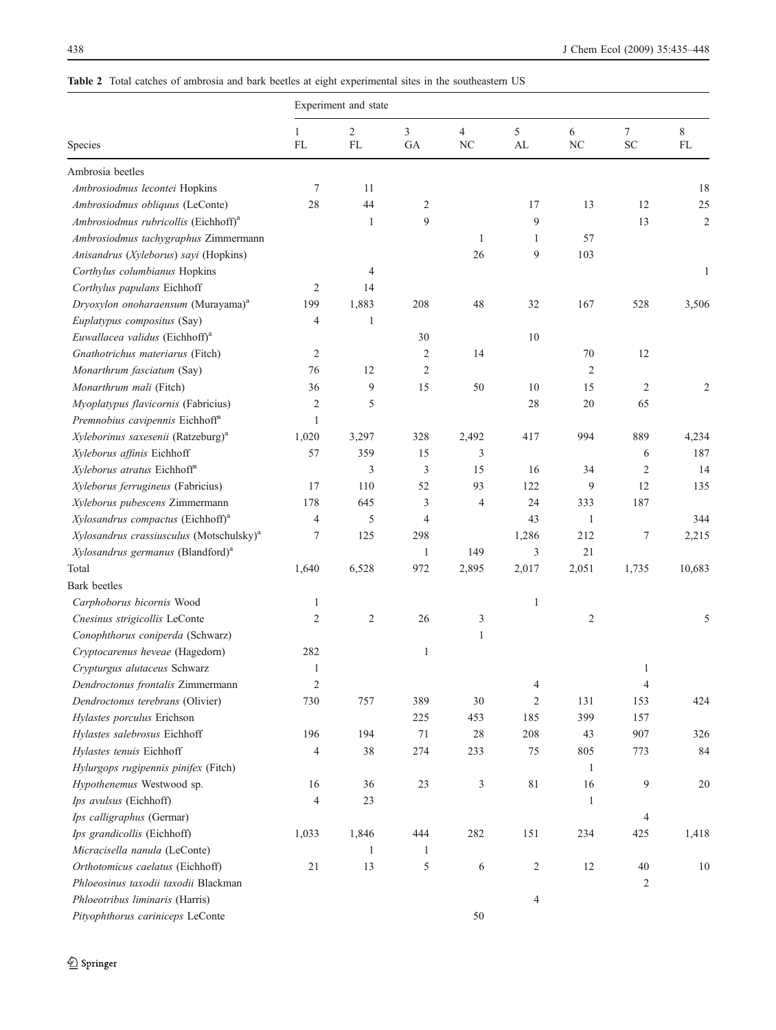# <span id="page-3-0"></span>Table 2 Total catches of ambrosia and bark beetles at eight experimental sites in the southeastern US

|                                                      | Experiment and state |                      |                |                      |                 |                |                                                |                |
|------------------------------------------------------|----------------------|----------------------|----------------|----------------------|-----------------|----------------|------------------------------------------------|----------------|
| Species                                              | $\mathbf{1}$<br>FL   | $\overline{2}$<br>FL | 3<br>GA        | $\overline{4}$<br>NC | 5<br>${\rm AL}$ | 6<br>$\rm NC$  | $\boldsymbol{7}$<br>$\ensuremath{\mathbf{SC}}$ | 8<br><b>FL</b> |
| Ambrosia beetles                                     |                      |                      |                |                      |                 |                |                                                |                |
| Ambrosiodmus lecontei Hopkins                        | 7                    | 11                   |                |                      |                 |                |                                                | 18             |
| Ambrosiodmus obliquus (LeConte)                      | 28                   | 44                   | $\overline{2}$ |                      | 17              | 13             | 12                                             | 25             |
| Ambrosiodmus rubricollis (Eichhoff) <sup>a</sup>     |                      | $\mathbf{1}$         | 9              |                      | 9               |                | 13                                             | $\overline{c}$ |
| Ambrosiodmus tachygraphus Zimmermann                 |                      |                      |                | $\mathbf{1}$         | 1               | 57             |                                                |                |
| Anisandrus (Xyleborus) sayi (Hopkins)                |                      |                      |                | 26                   | 9               | 103            |                                                |                |
| Corthylus columbianus Hopkins                        |                      | 4                    |                |                      |                 |                |                                                | $\mathbf{1}$   |
| Corthylus papulans Eichhoff                          | 2                    | 14                   |                |                      |                 |                |                                                |                |
| Dryoxylon onoharaensum (Murayama) <sup>a</sup>       | 199                  | 1,883                | 208            | 48                   | 32              | 167            | 528                                            | 3,506          |
| Euplatypus compositus (Say)                          | 4                    | $\mathbf{1}$         |                |                      |                 |                |                                                |                |
| Euwallacea validus (Eichhoff) <sup>a</sup>           |                      |                      | 30             |                      | 10              |                |                                                |                |
| Gnathotrichus materiarus (Fitch)                     | 2                    |                      | $\overline{c}$ | 14                   |                 | 70             | 12                                             |                |
| Monarthrum fasciatum (Say)                           | 76                   | 12                   | $\overline{2}$ |                      |                 | $\overline{2}$ |                                                |                |
| Monarthrum mali (Fitch)                              | 36                   | 9                    | 15             | 50                   | 10              | 15             | $\overline{2}$                                 | 2              |
| Myoplatypus flavicornis (Fabricius)                  | 2                    | 5                    |                |                      | 28              | 20             | 65                                             |                |
| Premnobius cavipennis Eichhoff <sup>a</sup>          | $\mathbf{1}$         |                      |                |                      |                 |                |                                                |                |
| Xyleborinus saxesenii (Ratzeburg) <sup>a</sup>       | 1,020                | 3,297                | 328            | 2,492                | 417             | 994            | 889                                            | 4,234          |
| Xyleborus affinis Eichhoff                           | 57                   | 359                  | 15             | 3                    |                 |                | 6                                              | 187            |
| Xyleborus atratus Eichhoff <sup>a</sup>              |                      | 3                    | 3              | 15                   | 16              | 34             | $\overline{2}$                                 | 14             |
| Xyleborus ferrugineus (Fabricius)                    | 17                   | 110                  | 52             | 93                   | 122             | 9              | 12                                             | 135            |
| Xyleborus pubescens Zimmermann                       | 178                  | 645                  | 3              | 4                    | 24              | 333            | 187                                            |                |
| Xylosandrus compactus (Eichhoff) <sup>a</sup>        | 4                    | 5                    | $\overline{4}$ |                      | 43              | 1              |                                                | 344            |
| Xylosandrus crassiusculus (Motschulsky) <sup>a</sup> | 7                    | 125                  | 298            |                      | 1,286           | 212            | 7                                              | 2,215          |
| Xylosandrus germanus (Blandford) <sup>a</sup>        |                      |                      | $\mathbf{1}$   | 149                  | 3               | 21             |                                                |                |
| Total                                                | 1,640                | 6,528                | 972            | 2,895                | 2,017           | 2,051          | 1,735                                          | 10,683         |
| <b>Bark</b> beetles                                  |                      |                      |                |                      |                 |                |                                                |                |
| Carphoborus bicornis Wood                            | 1                    |                      |                |                      | $\mathbf{1}$    |                |                                                |                |
| Cnesinus strigicollis LeConte                        | 2                    | $\sqrt{2}$           | 26             | 3                    |                 | $\overline{c}$ |                                                | 5              |
| Conophthorus coniperda (Schwarz)                     |                      |                      |                | $\mathbf{1}$         |                 |                |                                                |                |
| Cryptocarenus heveae (Hagedorn)                      | 282                  |                      | $\mathbf{1}$   |                      |                 |                |                                                |                |
| Crypturgus alutaceus Schwarz                         | $\mathbf{1}$         |                      |                |                      |                 |                | $\mathbf{1}$                                   |                |
| Dendroctonus frontalis Zimmermann                    | 2                    |                      |                |                      | 4               |                | 4                                              |                |
| Dendroctonus terebrans (Olivier)                     | 730                  | 757                  | 389            | 30                   | $\overline{c}$  | 131            | 153                                            | 424            |
| Hylastes porculus Erichson                           |                      |                      | 225            | 453                  | 185             | 399            | 157                                            |                |
| Hylastes salebrosus Eichhoff                         | 196                  | 194                  | 71             | 28                   | 208             | 43             | 907                                            | 326            |
| Hylastes tenuis Eichhoff                             | 4                    | 38                   | 274            | 233                  | 75              | 805            | 773                                            | 84             |
| Hylurgops rugipennis pinifex (Fitch)                 |                      |                      |                |                      |                 | $\mathbf{1}$   |                                                |                |
| Hypothenemus Westwood sp.                            | 16                   | 36                   | 23             | 3                    | 81              | 16             | 9                                              | 20             |
| Ips avulsus (Eichhoff)                               | 4                    | 23                   |                |                      |                 | $\mathbf{1}$   |                                                |                |
| Ips calligraphus (Germar)                            |                      |                      |                |                      |                 |                | $\overline{4}$                                 |                |
| Ips grandicollis (Eichhoff)                          | 1,033                | 1,846                | 444            | 282                  | 151             | 234            | 425                                            | 1,418          |
| Micracisella nanula (LeConte)                        |                      | $\mathbf{1}$         | $\mathbf{1}$   |                      |                 |                |                                                |                |
| Orthotomicus caelatus (Eichhoff)                     | $21\,$               | 13                   | 5              | 6                    | $\sqrt{2}$      | 12             | 40                                             | $10\,$         |
| Phloeosinus taxodii taxodii Blackman                 |                      |                      |                |                      |                 |                | $\overline{c}$                                 |                |
| Phloeotribus liminaris (Harris)                      |                      |                      |                |                      | $\overline{4}$  |                |                                                |                |
| Pityophthorus cariniceps LeConte                     |                      |                      |                | 50                   |                 |                |                                                |                |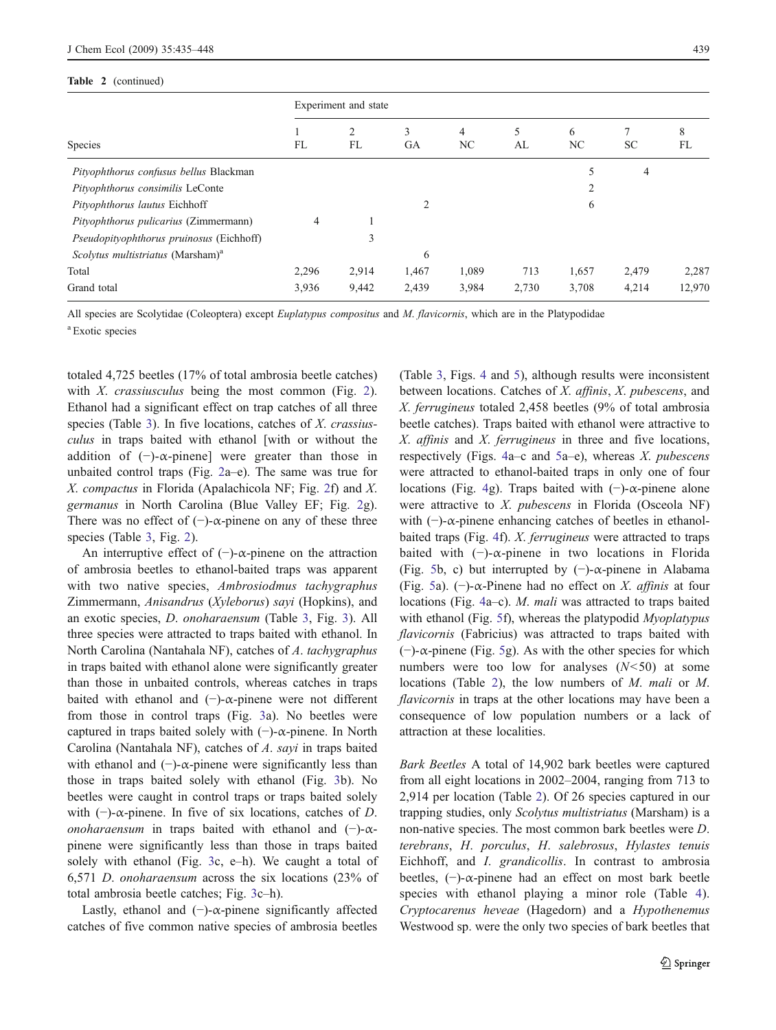#### Table 2 (continued)

|                                               | Experiment and state |         |                |         |         |         |           |         |
|-----------------------------------------------|----------------------|---------|----------------|---------|---------|---------|-----------|---------|
| <b>Species</b>                                | FL                   | 2<br>FL | 3<br><b>GA</b> | 4<br>NC | 5<br>AL | 6<br>NC | <b>SC</b> | 8<br>FL |
| Pityophthorus confusus bellus Blackman        |                      |         |                |         |         | 5       | 4         |         |
| Pityophthorus consimilis LeConte              |                      |         |                |         |         |         |           |         |
| Pityophthorus lautus Eichhoff                 |                      |         | $\overline{c}$ |         |         | 6       |           |         |
| Pityophthorus pulicarius (Zimmermann)         | 4                    |         |                |         |         |         |           |         |
| Pseudopityophthorus pruinosus (Eichhoff)      |                      | 3       |                |         |         |         |           |         |
| Scolytus multistriatus (Marsham) <sup>a</sup> |                      |         | 6              |         |         |         |           |         |
| Total                                         | 2,296                | 2,914   | 1,467          | 1,089   | 713     | 1,657   | 2,479     | 2,287   |
| Grand total                                   | 3,936                | 9,442   | 2,439          | 3,984   | 2,730   | 3,708   | 4,214     | 12,970  |

All species are Scolytidae (Coleoptera) except Euplatypus compositus and M. flavicornis, which are in the Platypodidae

<sup>a</sup> Exotic species

totaled 4,725 beetles (17% of total ambrosia beetle catches) with  $X$ . *crassiusculus* being the most common (Fig. [2](#page-6-0)). Ethanol had a significant effect on trap catches of all three species (Table [3](#page-5-0)). In five locations, catches of *X. crassius*culus in traps baited with ethanol [with or without the addition of  $(-)$ - $\alpha$ -pinene] were greater than those in unbaited control traps (Fig. [2a](#page-6-0)–e). The same was true for X. compactus in Florida (Apalachicola NF; Fig. [2f](#page-6-0)) and X. germanus in North Carolina (Blue Valley EF; Fig. [2](#page-6-0)g). There was no effect of  $(-)$ - $\alpha$ -pinene on any of these three species (Table [3,](#page-5-0) Fig. [2\)](#page-6-0).

An interruptive effect of  $(-)$ - $\alpha$ -pinene on the attraction of ambrosia beetles to ethanol-baited traps was apparent with two native species, Ambrosiodmus tachygraphus Zimmermann, Anisandrus (Xyleborus) sayi (Hopkins), and an exotic species, D. onoharaensum (Table [3](#page-5-0), Fig. [3\)](#page-7-0). All three species were attracted to traps baited with ethanol. In North Carolina (Nantahala NF), catches of A. tachygraphus in traps baited with ethanol alone were significantly greater than those in unbaited controls, whereas catches in traps baited with ethanol and  $(-)$ - $\alpha$ -pinene were not different from those in control traps (Fig. [3](#page-7-0)a). No beetles were captured in traps baited solely with (−)-α-pinene. In North Carolina (Nantahala NF), catches of A. sayi in traps baited with ethanol and  $(-)$ - $\alpha$ -pinene were significantly less than those in traps baited solely with ethanol (Fig. [3](#page-7-0)b). No beetles were caught in control traps or traps baited solely with  $(-)$ - $\alpha$ -pinene. In five of six locations, catches of D. onoharaensum in traps baited with ethanol and  $(-)$ - $\alpha$ pinene were significantly less than those in traps baited solely with ethanol (Fig. [3c](#page-7-0), e–h). We caught a total of 6,571 D. onoharaensum across the six locations (23% of total ambrosia beetle catches; Fig. [3c](#page-7-0)–h).

Lastly, ethanol and  $(-)$ - $\alpha$ -pinene significantly affected catches of five common native species of ambrosia beetles

(Table [3](#page-5-0), Figs. [4](#page-7-0) and [5](#page-8-0)), although results were inconsistent between locations. Catches of X. affinis, X. pubescens, and X. ferrugineus totaled 2,458 beetles (9% of total ambrosia beetle catches). Traps baited with ethanol were attractive to X. affinis and X. ferrugineus in three and five locations, respectively (Figs. [4](#page-7-0)a–c and [5a](#page-8-0)–e), whereas  $X$ , pubescens were attracted to ethanol-baited traps in only one of four locations (Fig. [4](#page-7-0)g). Traps baited with (−)-α-pinene alone were attractive to X. pubescens in Florida (Osceola NF) with  $(-)$ - $\alpha$ -pinene enhancing catches of beetles in ethanolbaited traps (Fig. [4](#page-7-0)f). X. ferrugineus were attracted to traps baited with  $(-)$ - $\alpha$ -pinene in two locations in Florida (Fig. [5](#page-8-0)b, c) but interrupted by  $(-)$ - $\alpha$ -pinene in Alabama (Fig. [5a](#page-8-0)). ( $\neg$ )- $\alpha$ -Pinene had no effect on X. *affinis* at four locations (Fig. [4](#page-7-0)a–c). M. mali was attracted to traps baited with ethanol (Fig. [5](#page-8-0)f), whereas the platypodid *Myoplatypus* flavicornis (Fabricius) was attracted to traps baited with (−)-α-pinene (Fig. [5](#page-8-0)g). As with the other species for which numbers were too low for analyses  $(N<50)$  at some locations (Table [2\)](#page-3-0), the low numbers of M. mali or M. flavicornis in traps at the other locations may have been a consequence of low population numbers or a lack of attraction at these localities.

Bark Beetles A total of 14,902 bark beetles were captured from all eight locations in 2002–2004, ranging from 713 to 2,914 per location (Table [2](#page-3-0)). Of 26 species captured in our trapping studies, only Scolytus multistriatus (Marsham) is a non-native species. The most common bark beetles were D. terebrans, H. porculus, H. salebrosus, Hylastes tenuis Eichhoff, and *I. grandicollis*. In contrast to ambrosia beetles, (−)-α-pinene had an effect on most bark beetle species with ethanol playing a minor role (Table [4](#page-9-0)). Cryptocarenus heveae (Hagedorn) and a Hypothenemus Westwood sp. were the only two species of bark beetles that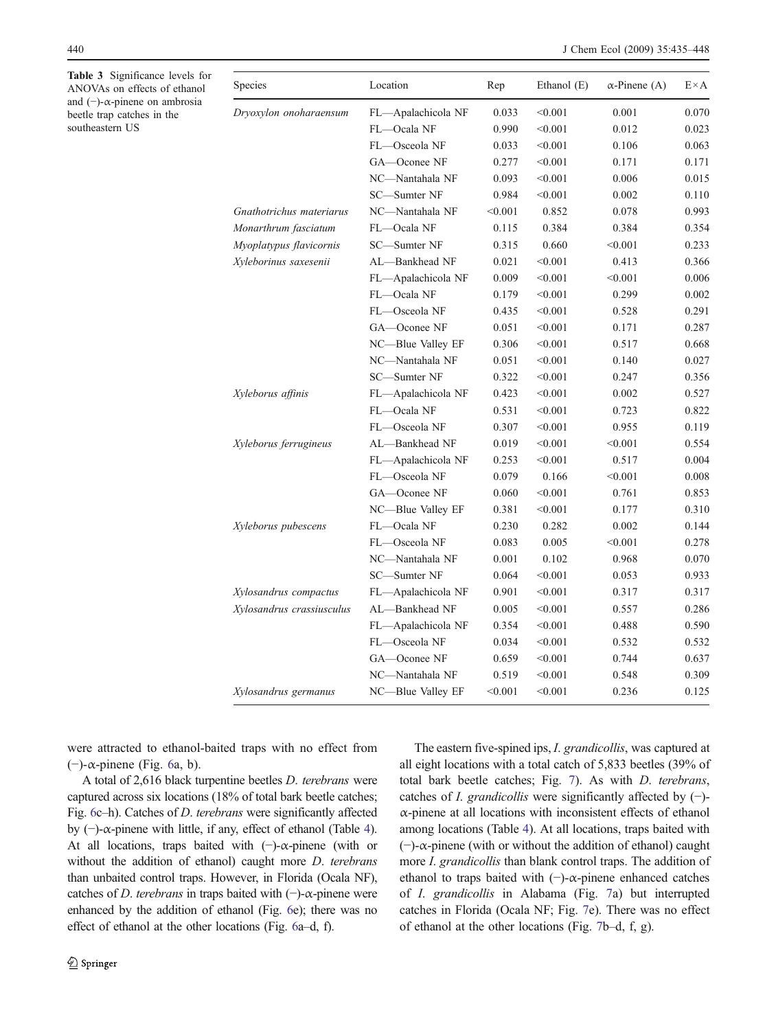<span id="page-5-0"></span>Table 3 Significance levels for ANOVAs on effects of ethanol and (−)-α-pinene on ambrosia beetle trap catches in the southeastern US

| Species                   | Location           | Rep     | Ethanol (E) | $\alpha$ -Pinene (A) | $E \times A$ |
|---------------------------|--------------------|---------|-------------|----------------------|--------------|
| Dryoxylon onoharaensum    | FL-Apalachicola NF | 0.033   | < 0.001     | 0.001                | 0.070        |
|                           | FL-Ocala NF        | 0.990   | < 0.001     | 0.012                | 0.023        |
|                           | FL-Osceola NF      | 0.033   | < 0.001     | 0.106                | 0.063        |
|                           | GA-Oconee NF       | 0.277   | < 0.001     | 0.171                | 0.171        |
|                           | NC-Nantahala NF    | 0.093   | < 0.001     | 0.006                | 0.015        |
|                           | SC-Sumter NF       | 0.984   | < 0.001     | 0.002                | 0.110        |
| Gnathotrichus materiarus  | NC-Nantahala NF    | < 0.001 | 0.852       | 0.078                | 0.993        |
| Monarthrum fasciatum      | FL-Ocala NF        | 0.115   | 0.384       | 0.384                | 0.354        |
| Myoplatypus flavicornis   | SC-Sumter NF       | 0.315   | 0.660       | < 0.001              | 0.233        |
| Xyleborinus saxesenii     | AL-Bankhead NF     | 0.021   | < 0.001     | 0.413                | 0.366        |
|                           | FL-Apalachicola NF | 0.009   | < 0.001     | < 0.001              | 0.006        |
|                           | FL-Ocala NF        | 0.179   | < 0.001     | 0.299                | 0.002        |
|                           | FL-Osceola NF      | 0.435   | < 0.001     | 0.528                | 0.291        |
|                           | GA-Oconee NF       | 0.051   | < 0.001     | 0.171                | 0.287        |
|                           | NC-Blue Valley EF  | 0.306   | < 0.001     | 0.517                | 0.668        |
|                           | NC-Nantahala NF    | 0.051   | < 0.001     | 0.140                | 0.027        |
|                           | SC-Sumter NF       | 0.322   | < 0.001     | 0.247                | 0.356        |
| Xyleborus affinis         | FL-Apalachicola NF | 0.423   | < 0.001     | 0.002                | 0.527        |
|                           | FL-Ocala NF        | 0.531   | < 0.001     | 0.723                | 0.822        |
|                           | FL-Osceola NF      | 0.307   | < 0.001     | 0.955                | 0.119        |
| Xyleborus ferrugineus     | AL-Bankhead NF     | 0.019   | < 0.001     | < 0.001              | 0.554        |
|                           | FL-Apalachicola NF | 0.253   | < 0.001     | 0.517                | 0.004        |
|                           | FL-Osceola NF      | 0.079   | 0.166       | < 0.001              | 0.008        |
|                           | GA-Oconee NF       | 0.060   | < 0.001     | 0.761                | 0.853        |
|                           | NC-Blue Valley EF  | 0.381   | < 0.001     | 0.177                | 0.310        |
| Xyleborus pubescens       | FL-Ocala NF        | 0.230   | 0.282       | 0.002                | 0.144        |
|                           | FL-Osceola NF      | 0.083   | 0.005       | < 0.001              | 0.278        |
|                           | NC-Nantahala NF    | 0.001   | 0.102       | 0.968                | 0.070        |
|                           | SC-Sumter NF       | 0.064   | < 0.001     | 0.053                | 0.933        |
| Xylosandrus compactus     | FL-Apalachicola NF | 0.901   | < 0.001     | 0.317                | 0.317        |
| Xylosandrus crassiusculus | AL-Bankhead NF     | 0.005   | < 0.001     | 0.557                | 0.286        |
|                           | FL-Apalachicola NF | 0.354   | < 0.001     | 0.488                | 0.590        |
|                           | FL-Osceola NF      | 0.034   | < 0.001     | 0.532                | 0.532        |
|                           | GA-Oconee NF       | 0.659   | < 0.001     | 0.744                | 0.637        |
|                           | NC-Nantahala NF    | 0.519   | < 0.001     | 0.548                | 0.309        |
| Xylosandrus germanus      | NC-Blue Valley EF  | < 0.001 | < 0.001     | 0.236                | 0.125        |

were attracted to ethanol-baited traps with no effect from (−)-α-pinene (Fig. [6a](#page-10-0), b).

A total of 2,616 black turpentine beetles D. terebrans were captured across six locations (18% of total bark beetle catches; Fig. [6](#page-10-0)c–h). Catches of D. terebrans were significantly affected by  $(-)$ - $\alpha$ -pinene with little, if any, effect of ethanol (Table [4](#page-9-0)). At all locations, traps baited with (−)-α-pinene (with or without the addition of ethanol) caught more *D. terebrans* than unbaited control traps. However, in Florida (Ocala NF), catches of D. terebrans in traps baited with  $(-)$ - $\alpha$ -pinene were enhanced by the addition of ethanol (Fig. [6](#page-10-0)e); there was no effect of ethanol at the other locations (Fig. [6a](#page-10-0)–d, f).

The eastern five-spined ips, *I. grandicollis*, was captured at all eight locations with a total catch of 5,833 beetles (39% of total bark beetle catches; Fig. [7](#page-10-0)). As with D. terebrans, catches of *I. grandicollis* were significantly affected by  $(-)$ α-pinene at all locations with inconsistent effects of ethanol among locations (Table [4](#page-9-0)). At all locations, traps baited with (−)-α-pinene (with or without the addition of ethanol) caught more *I. grandicollis* than blank control traps. The addition of ethanol to traps baited with  $(-)$ - $\alpha$ -pinene enhanced catches of I. grandicollis in Alabama (Fig. [7](#page-10-0)a) but interrupted catches in Florida (Ocala NF; Fig. [7](#page-10-0)e). There was no effect of ethanol at the other locations (Fig. [7b](#page-10-0)–d, f, g).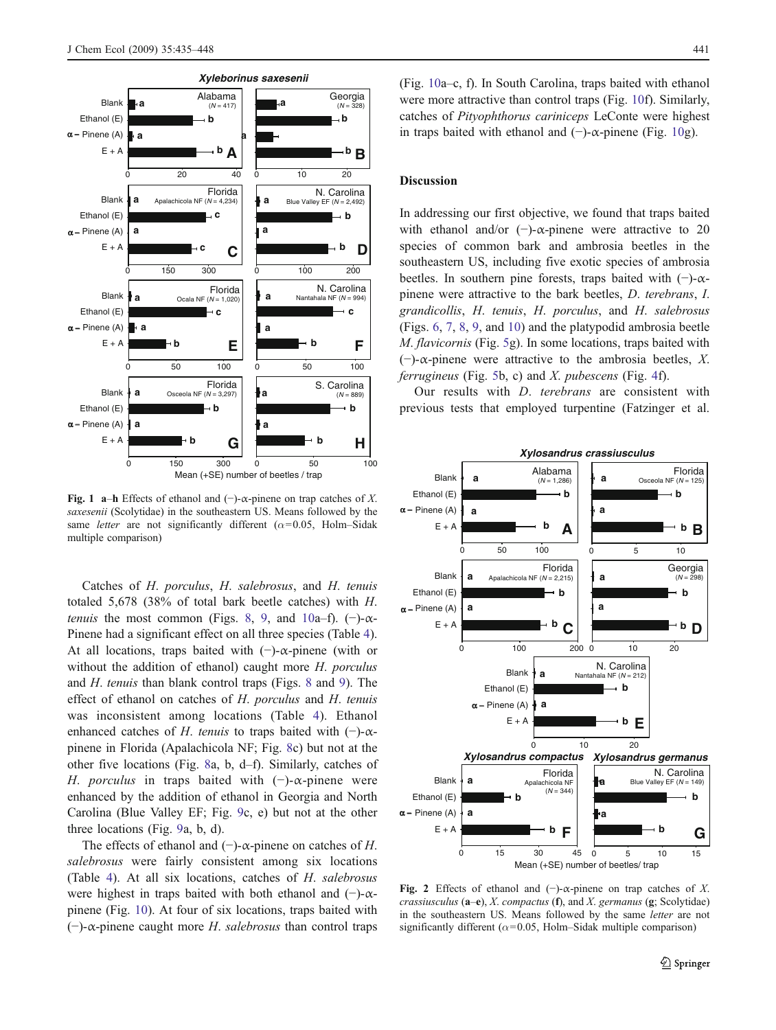<span id="page-6-0"></span>

Fig. 1 a–h Effects of ethanol and  $(-)$ - $\alpha$ -pinene on trap catches of X. saxesenii (Scolytidae) in the southeastern US. Means followed by the same letter are not significantly different ( $\alpha$ =0.05, Holm–Sidak multiple comparison)

Catches of H. porculus, H. salebrosus, and H. tenuis totaled 5,678 (38% of total bark beetle catches) with H. *tenuis* the most common (Figs. [8,](#page-11-0) [9](#page-11-0), and [10a](#page-11-0)–f). (−)- $\alpha$ -Pinene had a significant effect on all three species (Table [4](#page-9-0)). At all locations, traps baited with  $(-)$ - $\alpha$ -pinene (with or without the addition of ethanol) caught more H. porculus and H. tenuis than blank control traps (Figs. [8](#page-11-0) and [9](#page-11-0)). The effect of ethanol on catches of H. porculus and H. tenuis was inconsistent among locations (Table [4](#page-9-0)). Ethanol enhanced catches of H. tenuis to traps baited with  $(-)$ - $\alpha$ pinene in Florida (Apalachicola NF; Fig. [8c](#page-11-0)) but not at the other five locations (Fig. [8a](#page-11-0), b, d–f). Similarly, catches of H. porculus in traps baited with  $(-)$ - $\alpha$ -pinene were enhanced by the addition of ethanol in Georgia and North Carolina (Blue Valley EF; Fig. [9](#page-11-0)c, e) but not at the other three locations (Fig. [9a](#page-11-0), b, d).

The effects of ethanol and (−)- $\alpha$ -pinene on catches of H. salebrosus were fairly consistent among six locations (Table [4\)](#page-9-0). At all six locations, catches of H. salebrosus were highest in traps baited with both ethanol and  $(-)$ - $\alpha$ pinene (Fig. [10](#page-11-0)). At four of six locations, traps baited with  $(-)$ - $\alpha$ -pinene caught more H. salebrosus than control traps (Fig. [10a](#page-11-0)–c, f). In South Carolina, traps baited with ethanol were more attractive than control traps (Fig. [10f](#page-11-0)). Similarly, catches of Pityophthorus cariniceps LeConte were highest in traps baited with ethanol and  $(-)$ - $\alpha$ -pinene (Fig. [10](#page-11-0)g).

## **Discussion**

In addressing our first objective, we found that traps baited with ethanol and/or  $(-)$ - $\alpha$ -pinene were attractive to 20 species of common bark and ambrosia beetles in the southeastern US, including five exotic species of ambrosia beetles. In southern pine forests, traps baited with  $(-)$ - $\alpha$ pinene were attractive to the bark beetles, D. terebrans, I. grandicollis, H. tenuis, H. porculus, and H. salebrosus (Figs. [6](#page-10-0), [7](#page-10-0), [8,](#page-11-0) [9,](#page-11-0) and [10\)](#page-11-0) and the platypodid ambrosia beetle M. flavicornis (Fig. [5](#page-8-0)g). In some locations, traps baited with (−)-α-pinene were attractive to the ambrosia beetles, X. ferrugineus (Fig. [5b](#page-8-0), c) and  $X$ . pubescens (Fig. [4](#page-7-0)f).

Our results with D. terebrans are consistent with previous tests that employed turpentine (Fatzinger et al.



Fig. 2 Effects of ethanol and  $(-)$ - $\alpha$ -pinene on trap catches of X. crassiusculus  $(a-e)$ , X. compactus  $(f)$ , and X. germanus  $(g;$  Scolytidae) in the southeastern US. Means followed by the same letter are not significantly different ( $\alpha$ =0.05, Holm–Sidak multiple comparison)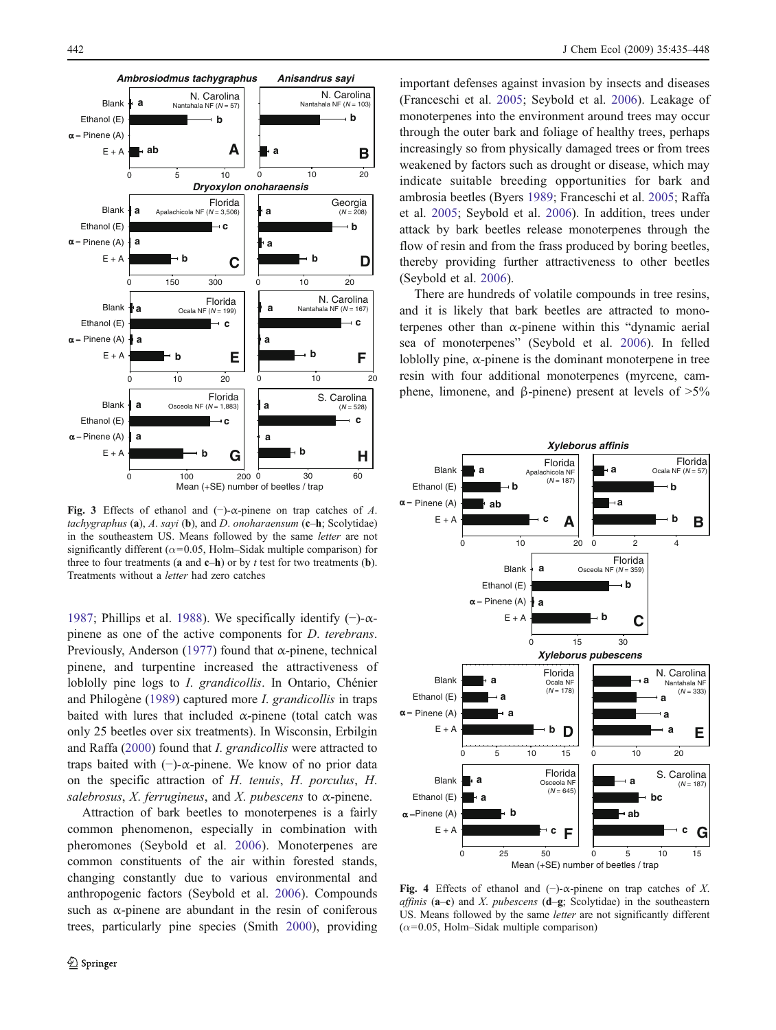<span id="page-7-0"></span>

Fig. 3 Effects of ethanol and  $(-)$ - $\alpha$ -pinene on trap catches of A. tachygraphus  $(a)$ , A. sayi  $(b)$ , and D. onoharaensum  $(c-h;$  Scolytidae) in the southeastern US. Means followed by the same letter are not significantly different ( $\alpha$ =0.05, Holm–Sidak multiple comparison) for three to four treatments (a and  $c-h$ ) or by t test for two treatments (b). Treatments without a letter had zero catches

[1987;](#page-12-0) Phillips et al. [1988\)](#page-13-0). We specifically identify  $(-)$ - $\alpha$ pinene as one of the active components for D. terebrans. Previously, Anderson [\(1977](#page-12-0)) found that  $\alpha$ -pinene, technical pinene, and turpentine increased the attractiveness of loblolly pine logs to *I. grandicollis*. In Ontario, Chénier and Philogène ([1989\)](#page-12-0) captured more I. grandicollis in traps baited with lures that included  $\alpha$ -pinene (total catch was only 25 beetles over six treatments). In Wisconsin, Erbilgin and Raffa [\(2000](#page-12-0)) found that I. grandicollis were attracted to traps baited with  $(-)$ -α-pinene. We know of no prior data on the specific attraction of H. tenuis, H. porculus, H. salebrosus, X. ferrugineus, and X. pubescens to  $\alpha$ -pinene.

Attraction of bark beetles to monoterpenes is a fairly common phenomenon, especially in combination with pheromones (Seybold et al. [2006\)](#page-13-0). Monoterpenes are common constituents of the air within forested stands, changing constantly due to various environmental and anthropogenic factors (Seybold et al. [2006](#page-13-0)). Compounds such as  $\alpha$ -pinene are abundant in the resin of coniferous trees, particularly pine species (Smith [2000\)](#page-13-0), providing

important defenses against invasion by insects and diseases (Franceschi et al. [2005](#page-12-0); Seybold et al. [2006](#page-13-0)). Leakage of monoterpenes into the environment around trees may occur through the outer bark and foliage of healthy trees, perhaps increasingly so from physically damaged trees or from trees weakened by factors such as drought or disease, which may indicate suitable breeding opportunities for bark and ambrosia beetles (Byers [1989;](#page-12-0) Franceschi et al. [2005;](#page-12-0) Raffa et al. [2005](#page-13-0); Seybold et al. [2006](#page-13-0)). In addition, trees under attack by bark beetles release monoterpenes through the flow of resin and from the frass produced by boring beetles, thereby providing further attractiveness to other beetles (Seybold et al. [2006\)](#page-13-0).

There are hundreds of volatile compounds in tree resins, and it is likely that bark beetles are attracted to monoterpenes other than  $\alpha$ -pinene within this "dynamic aerial sea of monoterpenes" (Seybold et al. [2006](#page-13-0)). In felled loblolly pine,  $\alpha$ -pinene is the dominant monoterpene in tree resin with four additional monoterpenes (myrcene, camphene, limonene, and β-pinene) present at levels of  $>5\%$ 



Fig. 4 Effects of ethanol and  $(-)$ - $\alpha$ -pinene on trap catches of X. affinis  $(a-c)$  and X. pubescens  $(d-g;$  Scolytidae) in the southeastern US. Means followed by the same letter are not significantly different  $(\alpha=0.05,$  Holm–Sidak multiple comparison)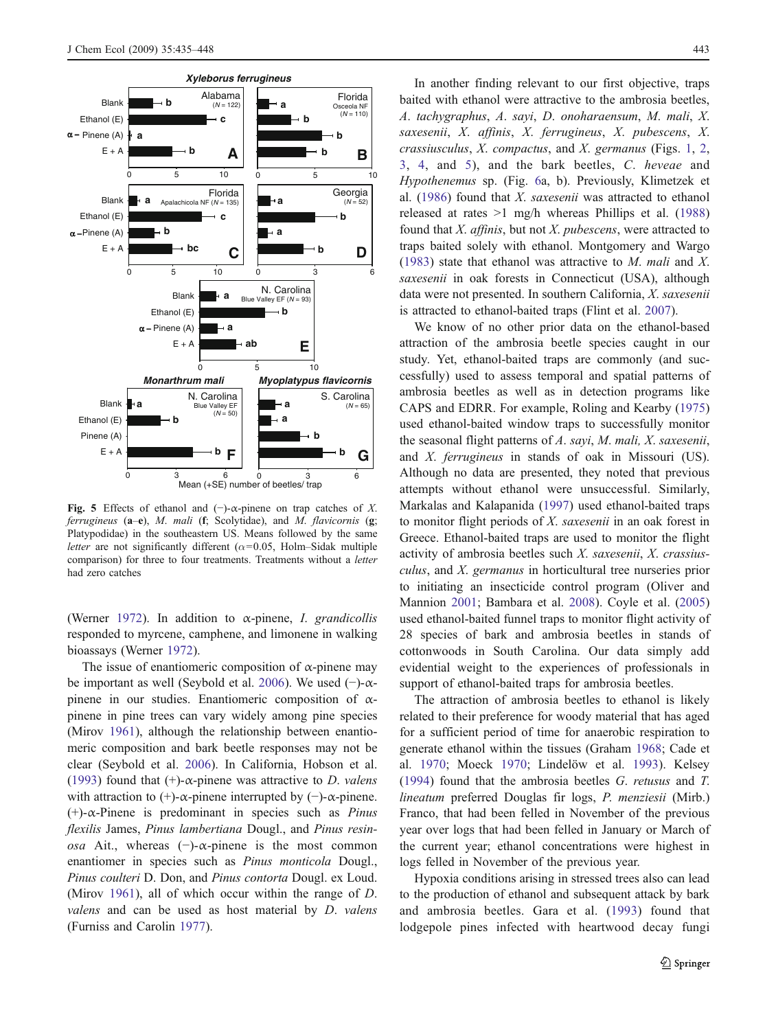<span id="page-8-0"></span>

Fig. 5 Effects of ethanol and  $(-)$ - $\alpha$ -pinene on trap catches of X. ferrugineus  $(a-e)$ , M. mali (f; Scolytidae), and M. flavicornis  $(g;$ Platypodidae) in the southeastern US. Means followed by the same letter are not significantly different ( $\alpha$ =0.05, Holm–Sidak multiple comparison) for three to four treatments. Treatments without a letter had zero catches

(Werner [1972](#page-13-0)). In addition to  $\alpha$ -pinene, *I. grandicollis* responded to myrcene, camphene, and limonene in walking bioassays (Werner [1972](#page-13-0)).

The issue of enantiomeric composition of  $\alpha$ -pinene may be important as well (Seybold et al. [2006\)](#page-13-0). We used  $(-)$ - $\alpha$ pinene in our studies. Enantiomeric composition of  $\alpha$ pinene in pine trees can vary widely among pine species (Mirov [1961\)](#page-13-0), although the relationship between enantiomeric composition and bark beetle responses may not be clear (Seybold et al. [2006](#page-13-0)). In California, Hobson et al. ([1993\)](#page-12-0) found that  $(+)$ - $\alpha$ -pinene was attractive to *D*. *valens* with attraction to  $(+)$ - $\alpha$ -pinene interrupted by  $(-)$ - $\alpha$ -pinene. (+)- $\alpha$ -Pinene is predominant in species such as *Pinus* flexilis James, Pinus lambertiana Dougl., and Pinus resinosa Ait., whereas  $(-)$ - $\alpha$ -pinene is the most common enantiomer in species such as *Pinus monticola* Dougl., Pinus coulteri D. Don, and Pinus contorta Dougl. ex Loud. (Mirov [1961\)](#page-13-0), all of which occur within the range of D. valens and can be used as host material by D. valens (Furniss and Carolin [1977\)](#page-12-0).

In another finding relevant to our first objective, traps baited with ethanol were attractive to the ambrosia beetles, A. tachygraphus, A. sayi, D. onoharaensum, M. mali, X. saxesenii, X. affinis, X. ferrugineus, X. pubescens, X. crassiusculus,  $X$ . compactus, and  $X$ . germanus (Figs. [1](#page-6-0), [2](#page-6-0), [3](#page-7-0), [4](#page-7-0), and 5), and the bark beetles, C. heveae and Hypothenemus sp. (Fig. [6a](#page-10-0), b). Previously, Klimetzek et al. [\(1986](#page-13-0)) found that X. saxesenii was attracted to ethanol released at rates >1 mg/h whereas Phillips et al. ([1988\)](#page-13-0) found that  $X$ , *affinis*, but not  $X$ , *pubescens*, were attracted to traps baited solely with ethanol. Montgomery and Wargo [\(1983\)](#page-13-0) state that ethanol was attractive to M. mali and X. saxesenii in oak forests in Connecticut (USA), although data were not presented. In southern California, X. saxesenii is attracted to ethanol-baited traps (Flint et al. [2007](#page-12-0)).

We know of no other prior data on the ethanol-based attraction of the ambrosia beetle species caught in our study. Yet, ethanol-baited traps are commonly (and successfully) used to assess temporal and spatial patterns of ambrosia beetles as well as in detection programs like CAPS and EDRR. For example, Roling and Kearby ([1975\)](#page-13-0) used ethanol-baited window traps to successfully monitor the seasonal flight patterns of A. sayi, M. mali, X. saxesenii, and X. ferrugineus in stands of oak in Missouri (US). Although no data are presented, they noted that previous attempts without ethanol were unsuccessful. Similarly, Markalas and Kalapanida ([1997\)](#page-13-0) used ethanol-baited traps to monitor flight periods of X. saxesenii in an oak forest in Greece. Ethanol-baited traps are used to monitor the flight activity of ambrosia beetles such X. saxesenii, X. crassiusculus, and X. germanus in horticultural tree nurseries prior to initiating an insecticide control program (Oliver and Mannion [2001](#page-13-0); Bambara et al. [2008\)](#page-12-0). Coyle et al. ([2005\)](#page-12-0) used ethanol-baited funnel traps to monitor flight activity of 28 species of bark and ambrosia beetles in stands of cottonwoods in South Carolina. Our data simply add evidential weight to the experiences of professionals in support of ethanol-baited traps for ambrosia beetles.

The attraction of ambrosia beetles to ethanol is likely related to their preference for woody material that has aged for a sufficient period of time for anaerobic respiration to generate ethanol within the tissues (Graham [1968](#page-12-0); Cade et al. [1970](#page-12-0); Moeck [1970;](#page-13-0) Lindelöw et al. [1993\)](#page-13-0). Kelsey [\(1994\)](#page-13-0) found that the ambrosia beetles G. retusus and T. lineatum preferred Douglas fir logs, P. menziesii (Mirb.) Franco, that had been felled in November of the previous year over logs that had been felled in January or March of the current year; ethanol concentrations were highest in logs felled in November of the previous year.

Hypoxia conditions arising in stressed trees also can lead to the production of ethanol and subsequent attack by bark and ambrosia beetles. Gara et al. ([1993\)](#page-12-0) found that lodgepole pines infected with heartwood decay fungi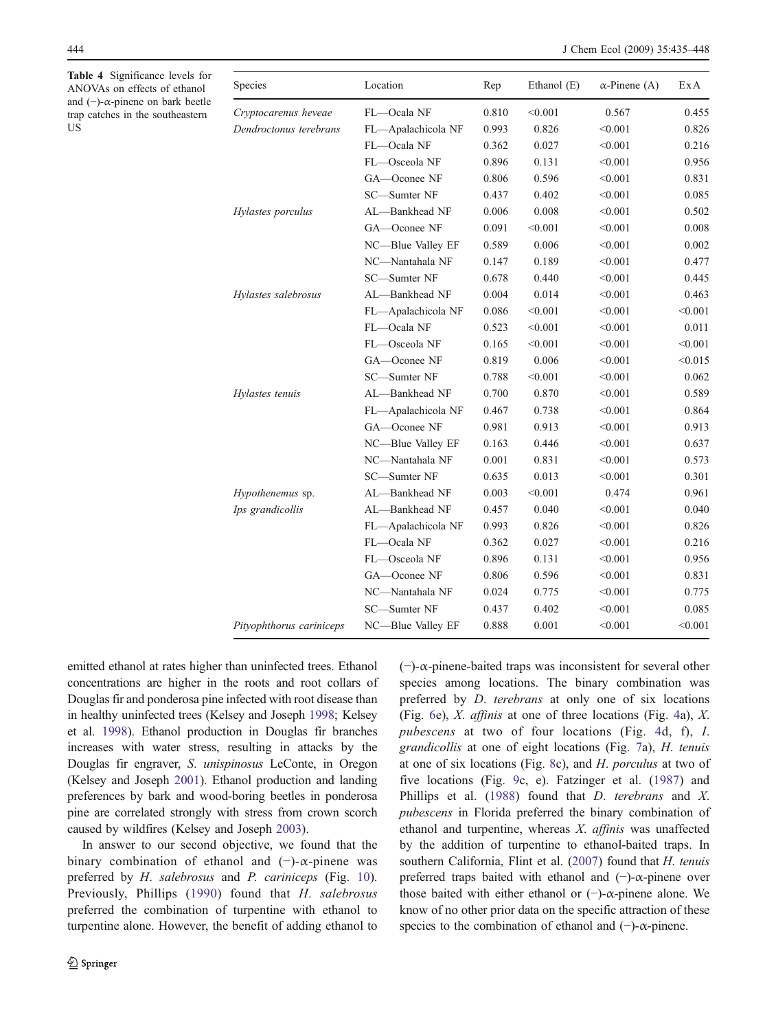<span id="page-9-0"></span>Table 4 Significance levels for ANOVAs on effects of ethanol and (−)-α-pinene on bark beetle trap catches in the southeastern **US** 

| Species                  | Location           | Rep   | Ethanol (E) | $\alpha$ -Pinene (A) | ExA     |
|--------------------------|--------------------|-------|-------------|----------------------|---------|
| Cryptocarenus heveae     | FL-Ocala NF        | 0.810 | < 0.001     | 0.567                | 0.455   |
| Dendroctonus terebrans   | FL-Apalachicola NF | 0.993 | 0.826       | < 0.001              | 0.826   |
|                          | FL-Ocala NF        | 0.362 | 0.027       | < 0.001              | 0.216   |
|                          | FL-Osceola NF      | 0.896 | 0.131       | < 0.001              | 0.956   |
|                          | GA-Oconee NF       | 0.806 | 0.596       | < 0.001              | 0.831   |
|                          | SC-Sumter NF       | 0.437 | 0.402       | < 0.001              | 0.085   |
| Hylastes porculus        | AL-Bankhead NF     | 0.006 | 0.008       | < 0.001              | 0.502   |
|                          | GA-Oconee NF       | 0.091 | < 0.001     | < 0.001              | 0.008   |
|                          | NC-Blue Valley EF  | 0.589 | 0.006       | < 0.001              | 0.002   |
|                          | NC-Nantahala NF    | 0.147 | 0.189       | < 0.001              | 0.477   |
|                          | SC-Sumter NF       | 0.678 | 0.440       | < 0.001              | 0.445   |
| Hylastes salebrosus      | AL-Bankhead NF     | 0.004 | 0.014       | < 0.001              | 0.463   |
|                          | FL-Apalachicola NF | 0.086 | < 0.001     | < 0.001              | < 0.001 |
|                          | FL-Ocala NF        | 0.523 | < 0.001     | < 0.001              | 0.011   |
|                          | FL-Osceola NF      | 0.165 | < 0.001     | < 0.001              | < 0.001 |
|                          | GA-Oconee NF       | 0.819 | 0.006       | < 0.001              | < 0.015 |
|                          | SC-Sumter NF       | 0.788 | < 0.001     | < 0.001              | 0.062   |
| Hylastes tenuis          | AL-Bankhead NF     | 0.700 | 0.870       | < 0.001              | 0.589   |
|                          | FL-Apalachicola NF | 0.467 | 0.738       | < 0.001              | 0.864   |
|                          | GA-Oconee NF       | 0.981 | 0.913       | < 0.001              | 0.913   |
|                          | NC-Blue Valley EF  | 0.163 | 0.446       | < 0.001              | 0.637   |
|                          | NC-Nantahala NF    | 0.001 | 0.831       | < 0.001              | 0.573   |
|                          | SC-Sumter NF       | 0.635 | 0.013       | < 0.001              | 0.301   |
| Hypothenemus sp.         | AL-Bankhead NF     | 0.003 | < 0.001     | 0.474                | 0.961   |
| Ips grandicollis         | AL-Bankhead NF     | 0.457 | 0.040       | < 0.001              | 0.040   |
|                          | FL-Apalachicola NF | 0.993 | 0.826       | < 0.001              | 0.826   |
|                          | FL-Ocala NF        | 0.362 | 0.027       | < 0.001              | 0.216   |
|                          | FL-Osceola NF      | 0.896 | 0.131       | < 0.001              | 0.956   |
|                          | GA-Oconee NF       | 0.806 | 0.596       | < 0.001              | 0.831   |
|                          | NC-Nantahala NF    | 0.024 | 0.775       | < 0.001              | 0.775   |
|                          | SC-Sumter NF       | 0.437 | 0.402       | < 0.001              | 0.085   |
| Pityophthorus cariniceps | NC-Blue Valley EF  | 0.888 | 0.001       | < 0.001              | < 0.001 |

emitted ethanol at rates higher than uninfected trees. Ethanol concentrations are higher in the roots and root collars of Douglas fir and ponderosa pine infected with root disease than in healthy uninfected trees (Kelsey and Joseph [1998;](#page-13-0) Kelsey et al. [1998\)](#page-13-0). Ethanol production in Douglas fir branches increases with water stress, resulting in attacks by the Douglas fir engraver, S. unispinosus LeConte, in Oregon (Kelsey and Joseph [2001](#page-13-0)). Ethanol production and landing preferences by bark and wood-boring beetles in ponderosa pine are correlated strongly with stress from crown scorch caused by wildfires (Kelsey and Joseph [2003\)](#page-13-0).

In answer to our second objective, we found that the binary combination of ethanol and  $(-)$ - $\alpha$ -pinene was preferred by H. salebrosus and P. cariniceps (Fig. [10](#page-11-0)). Previously, Phillips ([1990\)](#page-13-0) found that H. salebrosus preferred the combination of turpentine with ethanol to turpentine alone. However, the benefit of adding ethanol to (−)-α-pinene-baited traps was inconsistent for several other species among locations. The binary combination was preferred by D. terebrans at only one of six locations (Fig. [6e](#page-10-0)), X. affinis at one of three locations (Fig. [4](#page-7-0)a), X. pubescens at two of four locations (Fig. [4](#page-7-0)d, f), I. grandicollis at one of eight locations (Fig. [7](#page-10-0)a), H. tenuis at one of six locations (Fig. [8c](#page-11-0)), and H. porculus at two of five locations (Fig. [9c](#page-11-0), e). Fatzinger et al. ([1987\)](#page-12-0) and Phillips et al. ([1988\)](#page-13-0) found that D. terebrans and X. pubescens in Florida preferred the binary combination of ethanol and turpentine, whereas X. affinis was unaffected by the addition of turpentine to ethanol-baited traps. In southern California, Flint et al. [\(2007](#page-12-0)) found that H. tenuis preferred traps baited with ethanol and (−)-α-pinene over those baited with either ethanol or  $(-)$ - $\alpha$ -pinene alone. We know of no other prior data on the specific attraction of these species to the combination of ethanol and  $(-)$ - $\alpha$ -pinene.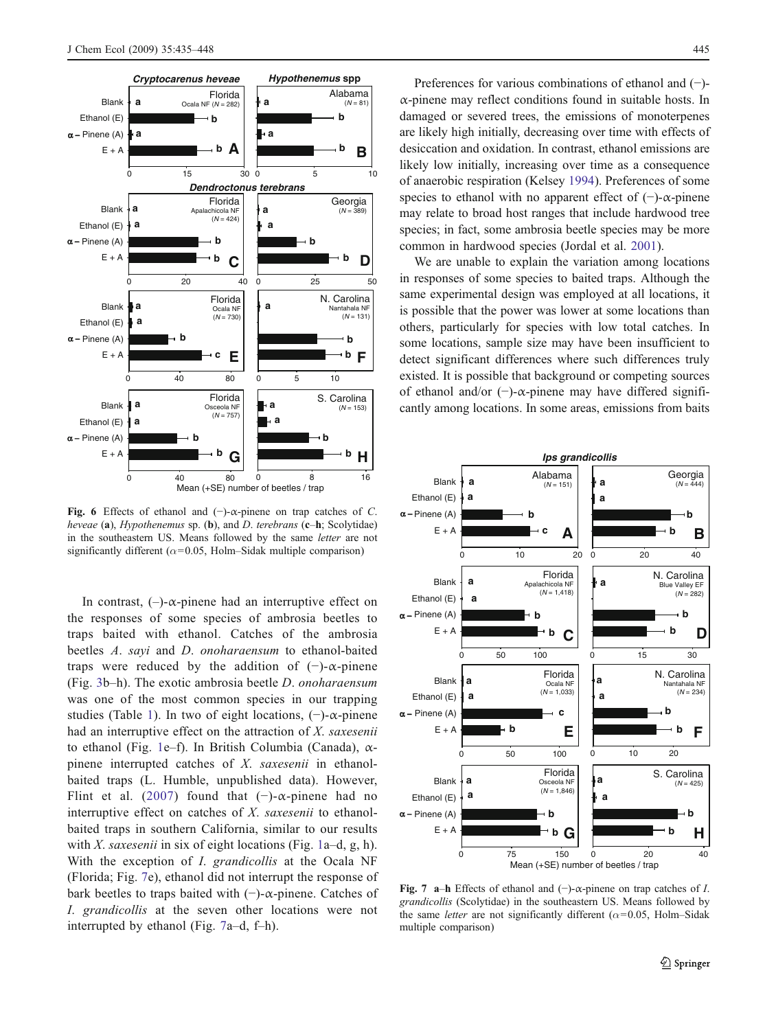<span id="page-10-0"></span>

Fig. 6 Effects of ethanol and  $(-)$ - $\alpha$ -pinene on trap catches of C. heveae  $(a)$ , Hypothenemus sp.  $(b)$ , and D. terebrans  $(c-h;$  Scolytidae) in the southeastern US. Means followed by the same letter are not significantly different ( $\alpha$ =0.05, Holm–Sidak multiple comparison)

In contrast,  $(-)$ - $\alpha$ -pinene had an interruptive effect on the responses of some species of ambrosia beetles to traps baited with ethanol. Catches of the ambrosia beetles A. sayi and D. onoharaensum to ethanol-baited traps were reduced by the addition of  $(-)$ - $\alpha$ -pinene (Fig. [3](#page-7-0)b–h). The exotic ambrosia beetle D. onoharaensum was one of the most common species in our trapping studies (Table [1\)](#page-2-0). In two of eight locations,  $(-)$ - $\alpha$ -pinene had an interruptive effect on the attraction of  $X$ . saxesenii to ethanol (Fig. [1e](#page-6-0)–f). In British Columbia (Canada), αpinene interrupted catches of X. saxesenii in ethanolbaited traps (L. Humble, unpublished data). However, Flint et al. [\(2007\)](#page-12-0) found that  $(-)$ - $\alpha$ -pinene had no interruptive effect on catches of X. saxesenii to ethanolbaited traps in southern California, similar to our results with X. saxesenii in six of eight locations (Fig. [1a](#page-6-0)–d, g, h). With the exception of *I. grandicollis* at the Ocala NF (Florida; Fig. 7e), ethanol did not interrupt the response of bark beetles to traps baited with (−)-α-pinene. Catches of I. grandicollis at the seven other locations were not interrupted by ethanol (Fig. 7a–d, f–h).

Preferences for various combinations of ethanol and (−) α-pinene may reflect conditions found in suitable hosts. In damaged or severed trees, the emissions of monoterpenes are likely high initially, decreasing over time with effects of desiccation and oxidation. In contrast, ethanol emissions are likely low initially, increasing over time as a consequence of anaerobic respiration (Kelsey [1994](#page-13-0)). Preferences of some species to ethanol with no apparent effect of (−)-α-pinene may relate to broad host ranges that include hardwood tree species; in fact, some ambrosia beetle species may be more common in hardwood species (Jordal et al. [2001](#page-13-0)).

We are unable to explain the variation among locations in responses of some species to baited traps. Although the same experimental design was employed at all locations, it is possible that the power was lower at some locations than others, particularly for species with low total catches. In some locations, sample size may have been insufficient to detect significant differences where such differences truly existed. It is possible that background or competing sources of ethanol and/or  $(-)$ - $\alpha$ -pinene may have differed significantly among locations. In some areas, emissions from baits



Fig. 7 a–h Effects of ethanol and  $(-)$ - $\alpha$ -pinene on trap catches of *I*. grandicollis (Scolytidae) in the southeastern US. Means followed by the same *letter* are not significantly different ( $\alpha$ =0.05, Holm–Sidak multiple comparison)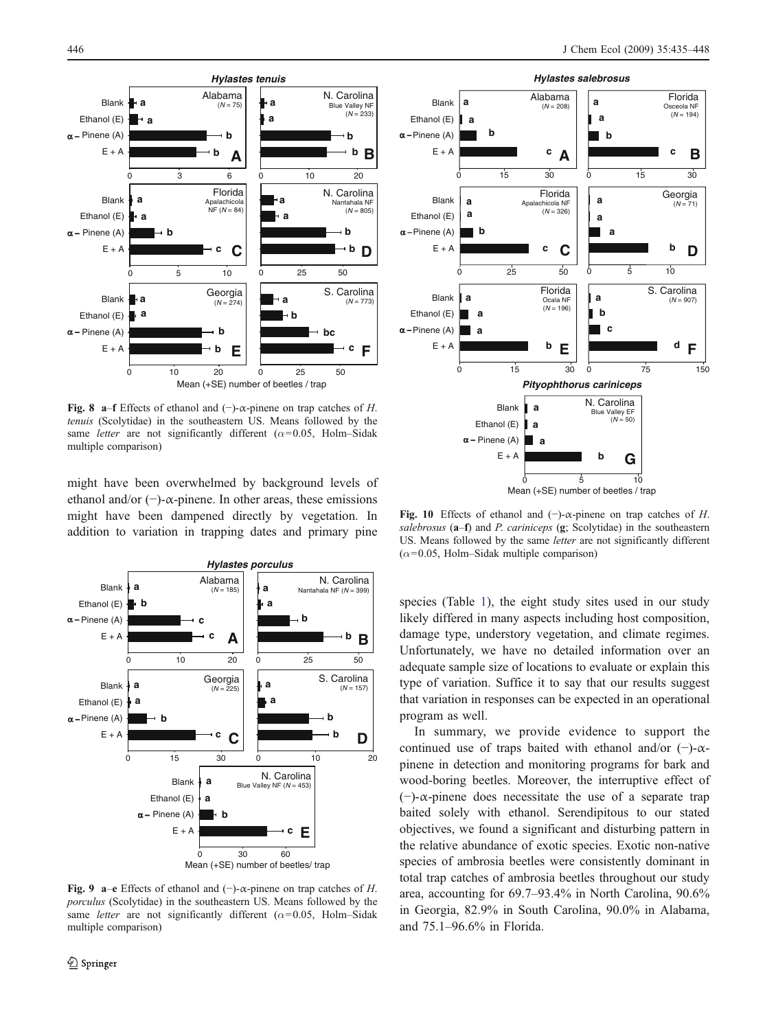<span id="page-11-0"></span>

Fig. 8 a–f Effects of ethanol and  $(-)$ - $\alpha$ -pinene on trap catches of H. tenuis (Scolytidae) in the southeastern US. Means followed by the same letter are not significantly different ( $\alpha$ =0.05, Holm–Sidak multiple comparison)

might have been overwhelmed by background levels of ethanol and/or  $(-)$ - $\alpha$ -pinene. In other areas, these emissions might have been dampened directly by vegetation. In addition to variation in trapping dates and primary pine



Fig. 9 a–e Effects of ethanol and (−)- $\alpha$ -pinene on trap catches of H. porculus (Scolytidae) in the southeastern US. Means followed by the same letter are not significantly different ( $\alpha$ =0.05, Holm–Sidak multiple comparison)



Fig. 10 Effects of ethanol and  $(-)$ - $\alpha$ -pinene on trap catches of H. salebrosus  $(a-f)$  and P. cariniceps  $(g;$  Scolytidae) in the southeastern US. Means followed by the same letter are not significantly different  $(\alpha=0.05,$  Holm–Sidak multiple comparison)

species (Table [1\)](#page-2-0), the eight study sites used in our study likely differed in many aspects including host composition, damage type, understory vegetation, and climate regimes. Unfortunately, we have no detailed information over an adequate sample size of locations to evaluate or explain this type of variation. Suffice it to say that our results suggest that variation in responses can be expected in an operational program as well.

In summary, we provide evidence to support the continued use of traps baited with ethanol and/or  $(-)$ - $\alpha$ pinene in detection and monitoring programs for bark and wood-boring beetles. Moreover, the interruptive effect of (−)-α-pinene does necessitate the use of a separate trap baited solely with ethanol. Serendipitous to our stated objectives, we found a significant and disturbing pattern in the relative abundance of exotic species. Exotic non-native species of ambrosia beetles were consistently dominant in total trap catches of ambrosia beetles throughout our study area, accounting for 69.7–93.4% in North Carolina, 90.6% in Georgia, 82.9% in South Carolina, 90.0% in Alabama, and 75.1–96.6% in Florida.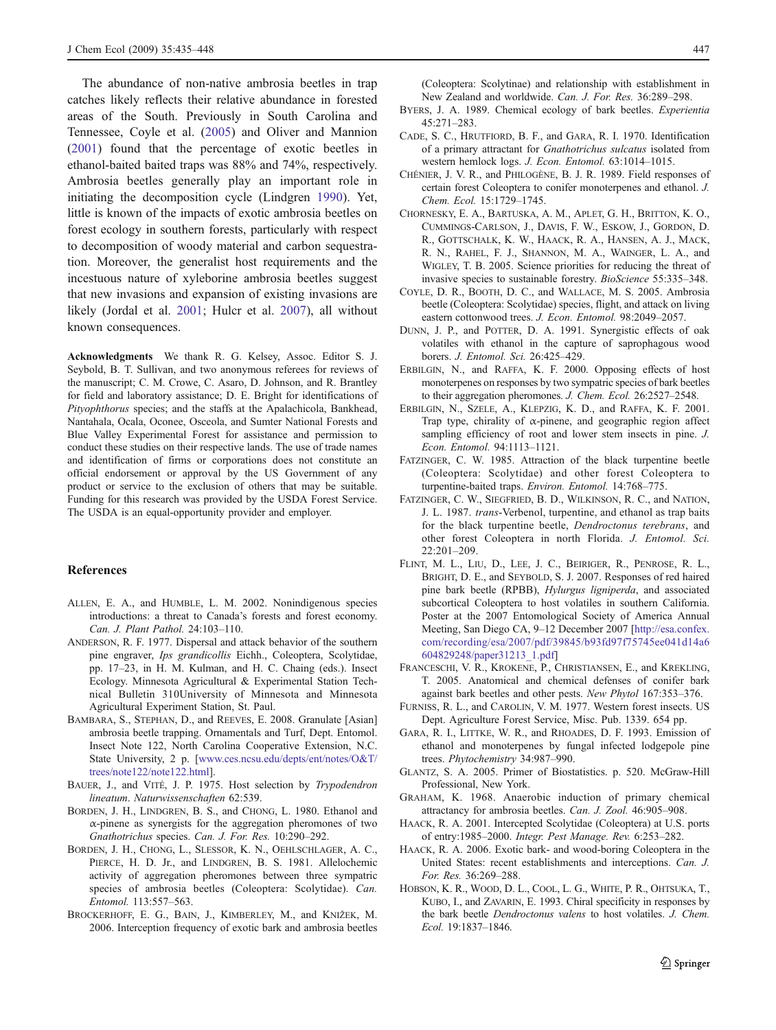<span id="page-12-0"></span>The abundance of non-native ambrosia beetles in trap catches likely reflects their relative abundance in forested areas of the South. Previously in South Carolina and Tennessee, Coyle et al. (2005) and Oliver and Mannion ([2001\)](#page-13-0) found that the percentage of exotic beetles in ethanol-baited baited traps was 88% and 74%, respectively. Ambrosia beetles generally play an important role in initiating the decomposition cycle (Lindgren [1990](#page-13-0)). Yet, little is known of the impacts of exotic ambrosia beetles on forest ecology in southern forests, particularly with respect to decomposition of woody material and carbon sequestration. Moreover, the generalist host requirements and the incestuous nature of xyleborine ambrosia beetles suggest that new invasions and expansion of existing invasions are likely (Jordal et al. [2001;](#page-13-0) Hulcr et al. [2007](#page-13-0)), all without known consequences.

Acknowledgments We thank R. G. Kelsey, Assoc. Editor S. J. Seybold, B. T. Sullivan, and two anonymous referees for reviews of the manuscript; C. M. Crowe, C. Asaro, D. Johnson, and R. Brantley for field and laboratory assistance; D. E. Bright for identifications of Pityophthorus species; and the staffs at the Apalachicola, Bankhead, Nantahala, Ocala, Oconee, Osceola, and Sumter National Forests and Blue Valley Experimental Forest for assistance and permission to conduct these studies on their respective lands. The use of trade names and identification of firms or corporations does not constitute an official endorsement or approval by the US Government of any product or service to the exclusion of others that may be suitable. Funding for this research was provided by the USDA Forest Service. The USDA is an equal-opportunity provider and employer.

### References

- ALLEN, E. A., and HUMBLE, L. M. 2002. Nonindigenous species introductions: a threat to Canada's forests and forest economy. Can. J. Plant Pathol. 24:103–110.
- ANDERSON, R. F. 1977. Dispersal and attack behavior of the southern pine engraver, Ips grandicollis Eichh., Coleoptera, Scolytidae, pp. 17–23, in H. M. Kulman, and H. C. Chaing (eds.). Insect Ecology. Minnesota Agricultural & Experimental Station Technical Bulletin 310University of Minnesota and Minnesota Agricultural Experiment Station, St. Paul.
- BAMBARA, S., STEPHAN, D., and REEVES, E. 2008. Granulate [Asian] ambrosia beetle trapping. Ornamentals and Turf, Dept. Entomol. Insect Note 122, North Carolina Cooperative Extension, N.C. State University, 2 p. [[www.ces.ncsu.edu/depts/ent/notes/O&T/](http://www.ces.ncsu.edu/depts/ent/notes/O&T/trees/note122/note122.html) [trees/note122/note122.html\]](http://www.ces.ncsu.edu/depts/ent/notes/O&T/trees/note122/note122.html).
- BAUER, J., and VITÉ, J. P. 1975. Host selection by Trypodendron lineatum. Naturwissenschaften 62:539.
- BORDEN, J. H., LINDGREN, B. S., and CHONG, L. 1980. Ethanol and  $\alpha$ -pinene as synergists for the aggregation pheromones of two Gnathotrichus species. Can. J. For. Res. 10:290–292.
- BORDEN, J. H., CHONG, L., SLESSOR, K. N., OEHLSCHLAGER, A. C., PIERCE, H. D. Jr., and LINDGREN, B. S. 1981. Allelochemic activity of aggregation pheromones between three sympatric species of ambrosia beetles (Coleoptera: Scolytidae). Can. Entomol. 113:557–563.
- BROCKERHOFF, E. G., BAIN, J., KIMBERLEY, M., and KNIŽEK, M. 2006. Interception frequency of exotic bark and ambrosia beetles

(Coleoptera: Scolytinae) and relationship with establishment in New Zealand and worldwide. Can. J. For. Res. 36:289–298.

- BYERS, J. A. 1989. Chemical ecology of bark beetles. Experientia 45:271–283.
- CADE, S. C., HRUTFIORD, B. F., and GARA, R. I. 1970. Identification of a primary attractant for Gnathotrichus sulcatus isolated from western hemlock logs. J. Econ. Entomol. 63:1014–1015.
- CHÉNIER, J. V. R., and PHILOGÈNE, B. J. R. 1989. Field responses of certain forest Coleoptera to conifer monoterpenes and ethanol. J. Chem. Ecol. 15:1729–1745.
- CHORNESKY, E. A., BARTUSKA, A. M., APLET, G. H., BRITTON, K. O., CUMMINGS-CARLSON, J., DAVIS, F. W., ESKOW, J., GORDON, D. R., GOTTSCHALK, K. W., HAACK, R. A., HANSEN, A. J., MACK, R. N., RAHEL, F. J., SHANNON, M. A., WAINGER, L. A., and WIGLEY, T. B. 2005. Science priorities for reducing the threat of invasive species to sustainable forestry. BioScience 55:335–348.
- COYLE, D. R., BOOTH, D. C., and WALLACE, M. S. 2005. Ambrosia beetle (Coleoptera: Scolytidae) species, flight, and attack on living eastern cottonwood trees. J. Econ. Entomol. 98:2049–2057.
- DUNN, J. P., and POTTER, D. A. 1991. Synergistic effects of oak volatiles with ethanol in the capture of saprophagous wood borers. J. Entomol. Sci. 26:425–429.
- ERBILGIN, N., and RAFFA, K. F. 2000. Opposing effects of host monoterpenes on responses by two sympatric species of bark beetles to their aggregation pheromones. J. Chem. Ecol. 26:2527–2548.
- ERBILGIN, N., SZELE, A., KLEPZIG, K. D., and RAFFA, K. F. 2001. Trap type, chirality of α-pinene, and geographic region affect sampling efficiency of root and lower stem insects in pine. *J*. Econ. Entomol. 94:1113–1121.
- FATZINGER, C. W. 1985. Attraction of the black turpentine beetle (Coleoptera: Scolytidae) and other forest Coleoptera to turpentine-baited traps. Environ. Entomol. 14:768–775.
- FATZINGER, C. W., SIEGFRIED, B. D., WILKINSON, R. C., and NATION, J. L. 1987. trans-Verbenol, turpentine, and ethanol as trap baits for the black turpentine beetle, Dendroctonus terebrans, and other forest Coleoptera in north Florida. J. Entomol. Sci. 22:201–209.
- FLINT, M. L., LIU, D., LEE, J. C., BEIRIGER, R., PENROSE, R. L., BRIGHT, D. E., and SEYBOLD, S. J. 2007. Responses of red haired pine bark beetle (RPBB), Hylurgus ligniperda, and associated subcortical Coleoptera to host volatiles in southern California. Poster at the 2007 Entomological Society of America Annual Meeting, San Diego CA, 9–12 December 2007 [\[http://esa.confex.](http://esa.confex.com/recording/esa/2007/pdf/39845/b93fd97f75745ee041d14a6604829248/paper31213_1.pdf) [com/recording/esa/2007/pdf/39845/b93fd97f75745ee041d14a6](http://esa.confex.com/recording/esa/2007/pdf/39845/b93fd97f75745ee041d14a6604829248/paper31213_1.pdf) [604829248/paper31213\\_1.pdf\]](http://esa.confex.com/recording/esa/2007/pdf/39845/b93fd97f75745ee041d14a6604829248/paper31213_1.pdf)
- FRANCESCHI, V. R., KROKENE, P., CHRISTIANSEN, E., and KREKLING, T. 2005. Anatomical and chemical defenses of conifer bark against bark beetles and other pests. New Phytol 167:353–376.
- FURNISS, R. L., and CAROLIN, V. M. 1977. Western forest insects. US Dept. Agriculture Forest Service, Misc. Pub. 1339. 654 pp.
- GARA, R. I., LITTKE, W. R., and RHOADES, D. F. 1993. Emission of ethanol and monoterpenes by fungal infected lodgepole pine trees. Phytochemistry 34:987–990.
- GLANTZ, S. A. 2005. Primer of Biostatistics. p. 520. McGraw-Hill Professional, New York.
- GRAHAM, K. 1968. Anaerobic induction of primary chemical attractancy for ambrosia beetles. Can. J. Zool. 46:905–908.
- HAACK, R. A. 2001. Intercepted Scolytidae (Coleoptera) at U.S. ports of entry:1985–2000. Integr. Pest Manage. Rev. 6:253–282.
- HAACK, R. A. 2006. Exotic bark- and wood-boring Coleoptera in the United States: recent establishments and interceptions. Can. J. For. Res. 36:269–288.
- HOBSON, K. R., WOOD, D. L., COOL, L. G., WHITE, P. R., OHTSUKA, T., KUBO, I., and ZAVARIN, E. 1993. Chiral specificity in responses by the bark beetle Dendroctonus valens to host volatiles. J. Chem. Ecol. 19:1837–1846.